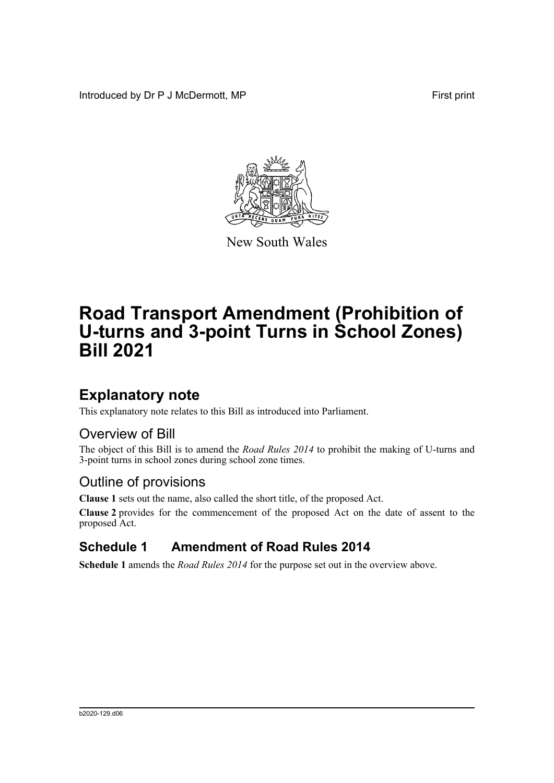Introduced by Dr P J McDermott, MP First print



New South Wales

# **Road Transport Amendment (Prohibition of U-turns and 3-point Turns in School Zones) Bill 2021**

## **Explanatory note**

This explanatory note relates to this Bill as introduced into Parliament.

### Overview of Bill

The object of this Bill is to amend the *Road Rules 2014* to prohibit the making of U-turns and 3-point turns in school zones during school zone times.

### Outline of provisions

**Clause 1** sets out the name, also called the short title, of the proposed Act.

**Clause 2** provides for the commencement of the proposed Act on the date of assent to the proposed Act.

### **Schedule 1 Amendment of Road Rules 2014**

**Schedule 1** amends the *Road Rules 2014* for the purpose set out in the overview above.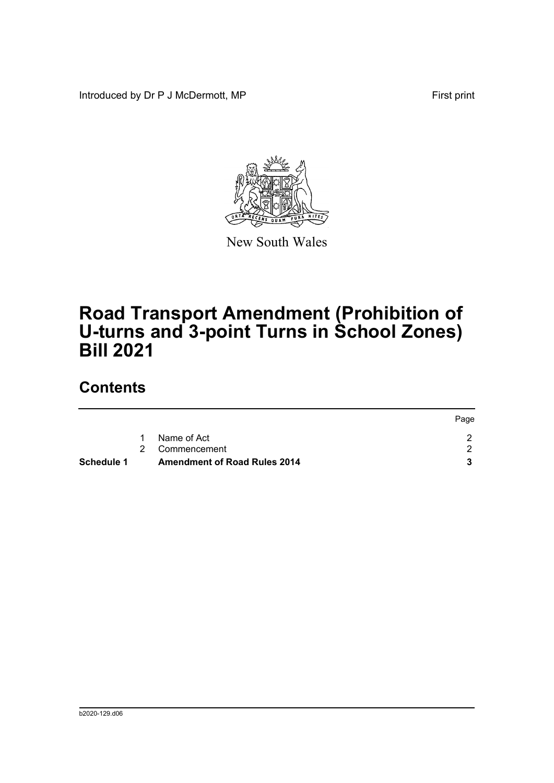Introduced by Dr P J McDermott, MP First print



New South Wales

## **Road Transport Amendment (Prohibition of U-turns and 3-point Turns in School Zones) Bill 2021**

## **Contents**

|            |   |                                     | Page |
|------------|---|-------------------------------------|------|
|            | 1 | Name of Act                         |      |
|            |   | 2 Commencement                      |      |
| Schedule 1 |   | <b>Amendment of Road Rules 2014</b> |      |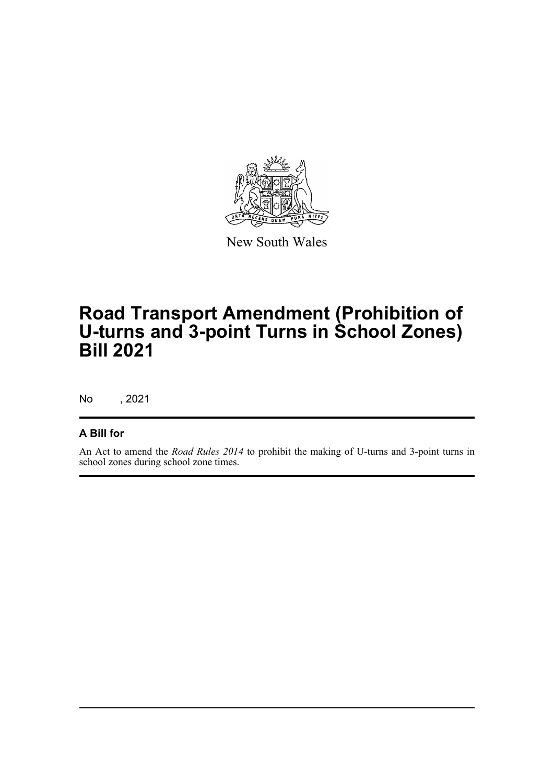

New South Wales

## **Road Transport Amendment (Prohibition of U-turns and 3-point Turns in School Zones) Bill 2021**

No , 2021

#### **A Bill for**

An Act to amend the *Road Rules 2014* to prohibit the making of U-turns and 3-point turns in school zones during school zone times.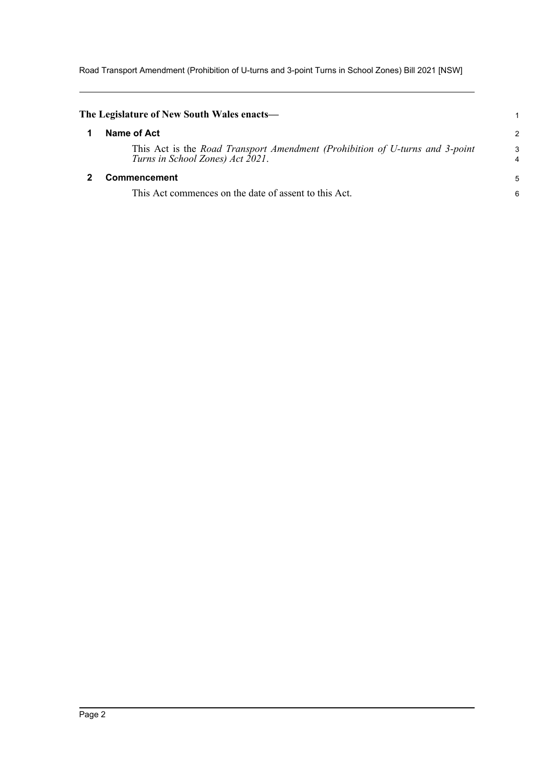Road Transport Amendment (Prohibition of U-turns and 3-point Turns in School Zones) Bill 2021 [NSW]

<span id="page-3-1"></span><span id="page-3-0"></span>

| The Legislature of New South Wales enacts—                                                                       |        |
|------------------------------------------------------------------------------------------------------------------|--------|
| Name of Act                                                                                                      | 2      |
| This Act is the Road Transport Amendment (Prohibition of U-turns and 3-point<br>Turns in School Zones) Act 2021. | 3<br>4 |
| <b>Commencement</b>                                                                                              | 5      |
| This Act commences on the date of assent to this Act.                                                            | 6      |
|                                                                                                                  |        |